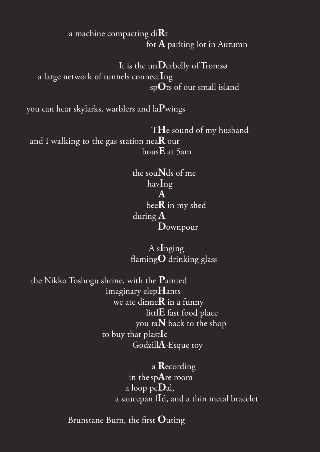## a machine compacting di**R**t for **A** parking lot in Autumn

 It is the un**D**erbelly of Tromsø a large network of tunnels connect**I**ng sp**O**ts of our small island

you can hear skylarks, warblers and la**P**wings

 T**H**e sound of my husband and I walking to the gas station nea**R** our hous**E** at 5am

 the sou**N**ds of me hav**I**ng **A** bee**R** in my shed during **AD**ownpour

> A s**I**nging flaming**O** drinking glass

 the Nikko Toshogu shrine, with the **P**ainted imaginary elep**H**ants we ate dinne**R** in a funny littl**E** fast food place you ra**N** back to the shop to buy that plast**I**c Godzill**A**-Esque toy

> a **R**ecording in the sp**A**re room a loop pe**D**al, a saucepan l**I**d, and a thin metal bracelet

Brunstane Burn, the first **O**uting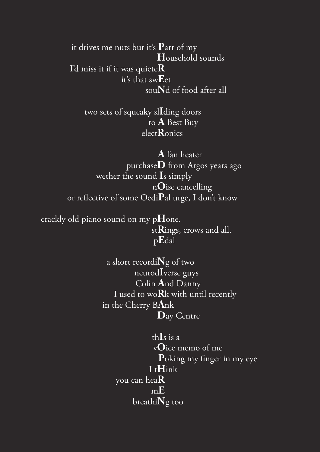it drives me nuts but it's **P**art of my **H**ousehold sounds I'd miss it if it was quiete**R** it's that sw**E**et sou**N**d of food after all

 two sets of squeaky sl**I**ding doors to **A** Best Buy elect**R**onics

 **A** fan heater purchase**D** from Argos years ago wether the sound **I**s simply n**O**ise cancelling or reflective of some Oedi**P**al urge, I don't know

 crackly old piano sound on my p**H**one. st**R**ings, crows and all. p**E**dal

> a short recordi**N**g of two neurod**I**verse guys Colin **A**nd Danny I used to wo**R**k with until recently in the Cherry B**A**nk **D**ay Centre

 th**I**s is a v**O**ice memo of me **P**oking my finger in my eye I t**H**ink you can hea**R** m**E** breathi**N**g too